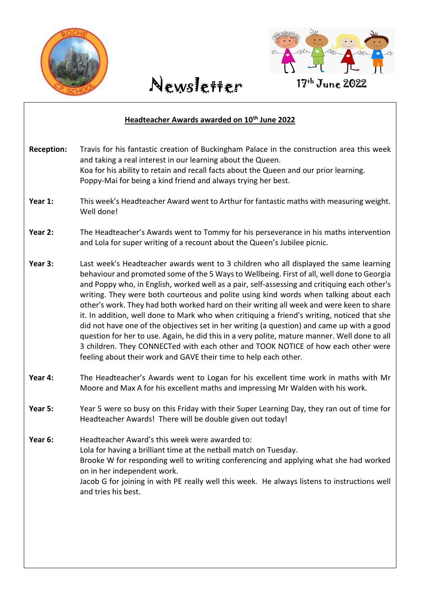



April 2021

#### **Headteacher Awards awarded on 10th June 2022**

| <b>Reception:</b> | Travis for his fantastic creation of Buckingham Palace in the construction area this week<br>and taking a real interest in our learning about the Queen.<br>Koa for his ability to retain and recall facts about the Queen and our prior learning.<br>Poppy-Mai for being a kind friend and always trying her best.                                                                                                                                                                                                                                                                                                                                                                                                                                                                                                                                                                                                             |
|-------------------|---------------------------------------------------------------------------------------------------------------------------------------------------------------------------------------------------------------------------------------------------------------------------------------------------------------------------------------------------------------------------------------------------------------------------------------------------------------------------------------------------------------------------------------------------------------------------------------------------------------------------------------------------------------------------------------------------------------------------------------------------------------------------------------------------------------------------------------------------------------------------------------------------------------------------------|
| Year 1:           | This week's Headteacher Award went to Arthur for fantastic maths with measuring weight.<br>Well done!                                                                                                                                                                                                                                                                                                                                                                                                                                                                                                                                                                                                                                                                                                                                                                                                                           |
| Year 2:           | The Headteacher's Awards went to Tommy for his perseverance in his maths intervention<br>and Lola for super writing of a recount about the Queen's Jubilee picnic.                                                                                                                                                                                                                                                                                                                                                                                                                                                                                                                                                                                                                                                                                                                                                              |
| Year 3:           | Last week's Headteacher awards went to 3 children who all displayed the same learning<br>behaviour and promoted some of the 5 Ways to Wellbeing. First of all, well done to Georgia<br>and Poppy who, in English, worked well as a pair, self-assessing and critiquing each other's<br>writing. They were both courteous and polite using kind words when talking about each<br>other's work. They had both worked hard on their writing all week and were keen to share<br>it. In addition, well done to Mark who when critiquing a friend's writing, noticed that she<br>did not have one of the objectives set in her writing (a question) and came up with a good<br>question for her to use. Again, he did this in a very polite, mature manner. Well done to all<br>3 children. They CONNECTed with each other and TOOK NOTICE of how each other were<br>feeling about their work and GAVE their time to help each other. |
| Year 4:           | The Headteacher's Awards went to Logan for his excellent time work in maths with Mr<br>Moore and Max A for his excellent maths and impressing Mr Walden with his work.                                                                                                                                                                                                                                                                                                                                                                                                                                                                                                                                                                                                                                                                                                                                                          |
| Year 5:           | Year 5 were so busy on this Friday with their Super Learning Day, they ran out of time for<br>Headteacher Awards! There will be double given out today!                                                                                                                                                                                                                                                                                                                                                                                                                                                                                                                                                                                                                                                                                                                                                                         |
| Year 6:           | Headteacher Award's this week were awarded to:<br>Lola for having a brilliant time at the netball match on Tuesday.<br>Brooke W for responding well to writing conferencing and applying what she had worked<br>on in her independent work.<br>Jacob G for joining in with PE really well this week. He always listens to instructions well<br>and tries his best.                                                                                                                                                                                                                                                                                                                                                                                                                                                                                                                                                              |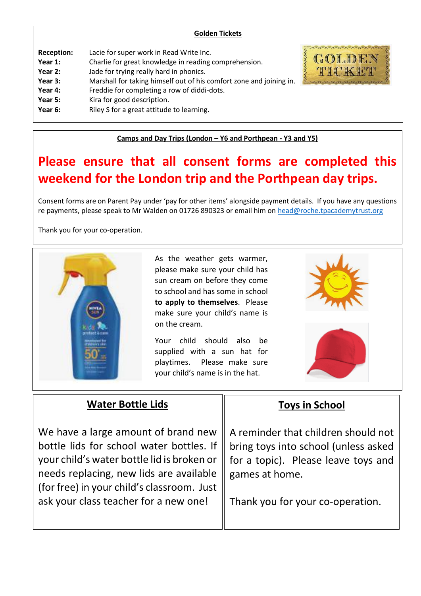| <b>Golden Tickets</b> |
|-----------------------|
|-----------------------|

| <b>Reception:</b> | Lacie for super work in Read Write Inc.                             | <b>SANCTION CONTROLL</b> |
|-------------------|---------------------------------------------------------------------|--------------------------|
| Year 1:           |                                                                     | G()                      |
|                   | Charlie for great knowledge in reading comprehension.               |                          |
| Year 2:           | Jade for trying really hard in phonics.                             | H<br>′ ∎                 |
| Year 3:           | Marshall for taking himself out of his comfort zone and joining in. |                          |
| Year 4:           | Freddie for completing a row of diddi-dots.                         |                          |
| Year 5:           | Kira for good description.                                          |                          |
| Year 6:           | Riley S for a great attitude to learning.                           |                          |
|                   |                                                                     |                          |

**Camps and Day Trips (London – Y6 and Porthpean - Y3 and Y5)**

## **Please ensure that all consent forms are completed this weekend for the London trip and the Porthpean day trips.**

Consent forms are on Parent Pay under 'pay for other items' alongside payment details. If you have any questions re payments, please speak to Mr Walden on 01726 890323 or email him o[n head@roche.tpacademytrust.org](mailto:head@roche.tpacademytrust.org)

Thank you for your co-operation.



As the weather gets warmer, please make sure your child has sun cream on before they come to school and has some in school **to apply to themselves**. Please make sure your child's name is on the cream.

Your child should also be supplied with a sun hat for playtimes. Please make sure your child's name is in the hat.





#### **Water Bottle Lids**

We have a large amount of brand new bottle lids for school water bottles. If your child's water bottle lid is broken or needs replacing, new lids are available (for free) in your child's classroom. Just ask your class teacher for a new one!

#### **Toys in School**

A reminder that children should not bring toys into school (unless asked for a topic). Please leave toys and games at home.

Thank you for your co-operation.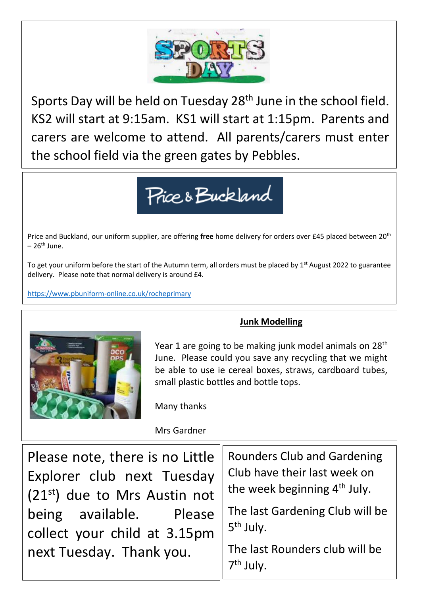

Sports Day will be held on Tuesday 28<sup>th</sup> June in the school field. KS2 will start at 9:15am. KS1 will start at 1:15pm. Parents and carers are welcome to attend. All parents/carers must enter the school field via the green gates by Pebbles.



Price and Buckland, our uniform supplier, are offering **free** home delivery for orders over £45 placed between 20th  $-26^{th}$  June.

To get your uniform before the start of the Autumn term, all orders must be placed by  $1<sup>st</sup>$  August 2022 to guarantee delivery. Please note that normal delivery is around £4.

<https://www.pbuniform-online.co.uk/rocheprimary>



#### **Junk Modelling**

Year 1 are going to be making junk model animals on  $28<sup>th</sup>$ June. Please could you save any recycling that we might be able to use ie cereal boxes, straws, cardboard tubes, small plastic bottles and bottle tops.

Many thanks

Mrs Gardner

| Please note, there is no Little $\parallel$ | <b>Rounders Club and Gardening</b>       |
|---------------------------------------------|------------------------------------------|
| Explorer club next Tuesday                  | Club have their last week on             |
| (21st) due to Mrs Austin not                | the week beginning 4 <sup>th</sup> July. |
| being available. Please                     | The last Gardening Club will be          |
| collect your child at 3.15pm                | 5 <sup>th</sup> July.                    |
| next Tuesday. Thank you.                    | The last Rounders club will be           |
|                                             |                                          |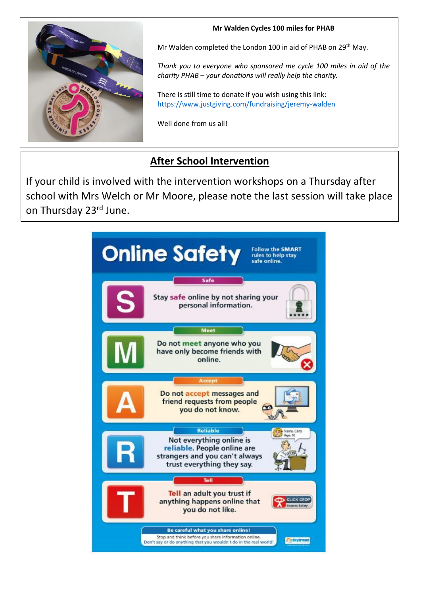

#### **Mr Walden Cycles 100 miles for PHAB**

Mr Walden completed the London 100 in aid of PHAB on 29<sup>th</sup> May.

*Thank you to everyone who sponsored me cycle 100 miles in aid of the charity PHAB – your donations will really help the charity.*

There is still time to donate if you wish using this link: <https://www.justgiving.com/fundraising/jeremy-walden>

Well done from us all!

### **After School Intervention**

If your child is involved with the intervention workshops on a Thursday after school with Mrs Welch or Mr Moore, please note the last session will take place on Thursday 23rd June.